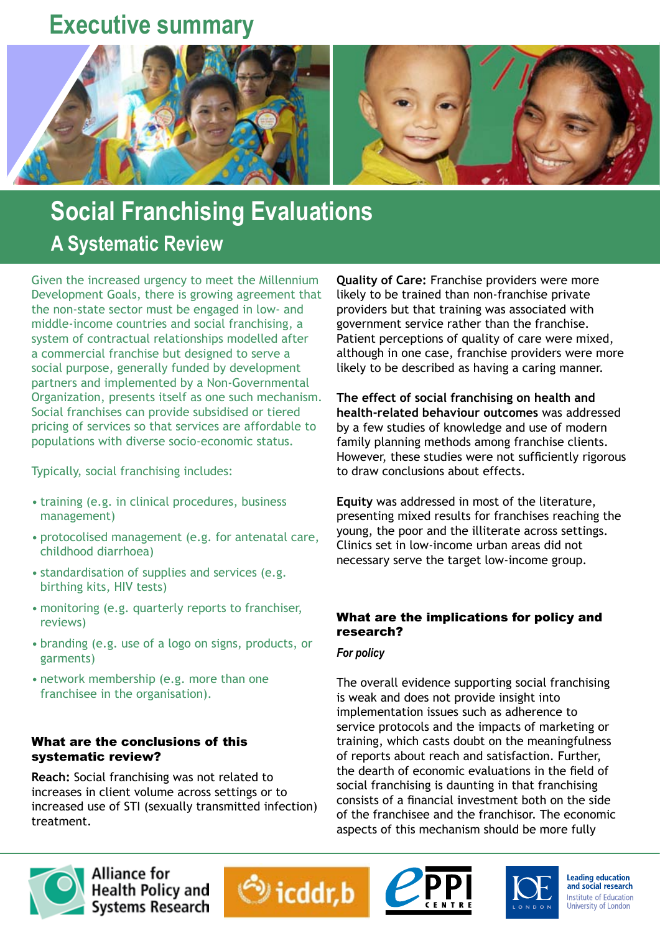# **Executive summary**



# **Social Franchising Evaluations A Systematic Review**

Given the increased urgency to meet the Millennium Development Goals, there is growing agreement that the non-state sector must be engaged in low- and middle-income countries and social franchising, a system of contractual relationships modelled after a commercial franchise but designed to serve a social purpose, generally funded by development partners and implemented by a Non-Governmental Organization, presents itself as one such mechanism. Social franchises can provide subsidised or tiered pricing of services so that services are affordable to populations with diverse socio-economic status.

Typically, social franchising includes:

- training (e.g. in clinical procedures, business management)
- protocolised management (e.g. for antenatal care, childhood diarrhoea)
- standardisation of supplies and services (e.g. birthing kits, HIV tests)
- monitoring (e.g. quarterly reports to franchiser, reviews)
- branding (e.g. use of a logo on signs, products, or garments)
- network membership (e.g. more than one franchisee in the organisation).

## What are the conclusions of this systematic review?

**Reach:** Social franchising was not related to increases in client volume across settings or to increased use of STI (sexually transmitted infection) treatment.

**Quality of Care:** Franchise providers were more likely to be trained than non-franchise private providers but that training was associated with government service rather than the franchise. Patient perceptions of quality of care were mixed, although in one case, franchise providers were more likely to be described as having a caring manner.

**The effect of social franchising on health and health-related behaviour outcomes** was addressed by a few studies of knowledge and use of modern family planning methods among franchise clients. However, these studies were not sufficiently rigorous to draw conclusions about effects.

**Equity** was addressed in most of the literature, presenting mixed results for franchises reaching the young, the poor and the illiterate across settings. Clinics set in low-income urban areas did not necessary serve the target low-income group.

## What are the implications for policy and research?

## *For policy*

The overall evidence supporting social franchising is weak and does not provide insight into implementation issues such as adherence to service protocols and the impacts of marketing or training, which casts doubt on the meaningfulness of reports about reach and satisfaction. Further, the dearth of economic evaluations in the field of social franchising is daunting in that franchising consists of a financial investment both on the side of the franchisee and the franchisor. The economic aspects of this mechanism should be more fully